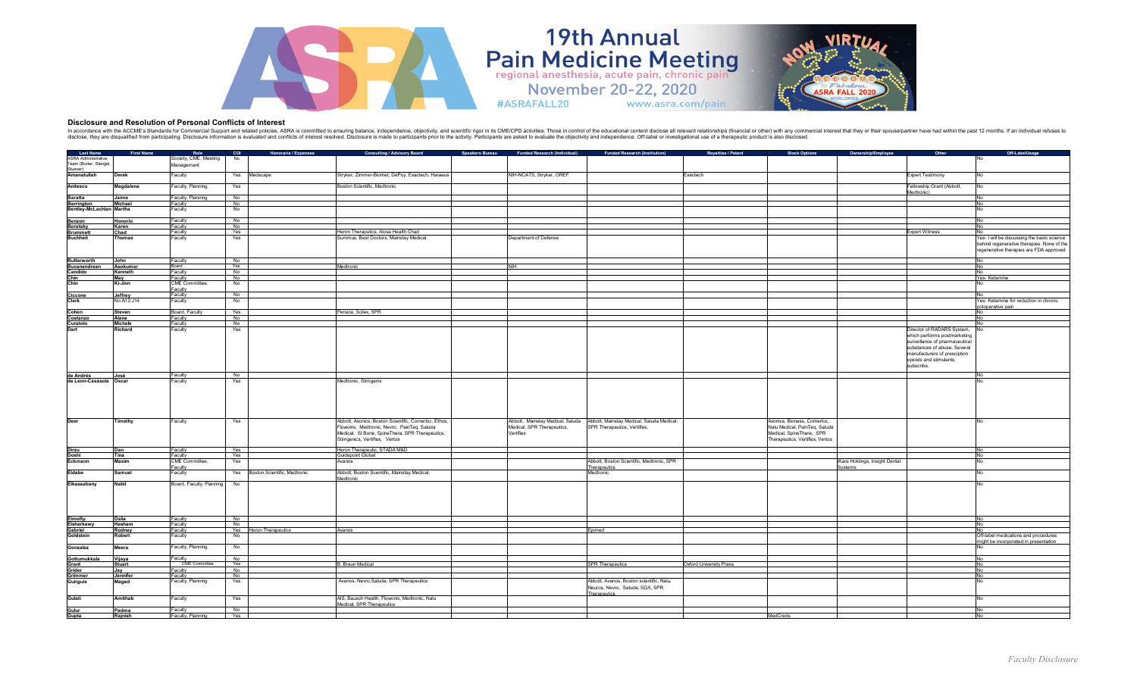

## **Disclosure and Resolution of Personal Conflicts of Interest**

In accordance with the ACCME's Standards for Commercial Support and related policies, ASRA is committed to ensuring balance, independence, objectivity, and scientific rigor in its CME/CPD activities. Those in control of th

#ASRAFALL20

**19th Annual** 

Pain Medicine Meeting

www.asra.com/pain

| Last Name                                           | First Name    | Role                     | COI              | Honoraria / Expenses             | <b>Consulting / Advisory Board</b>                    | <b>Speakers Bureau</b> | <b>Funded Research (Individual)</b> | <b>Funded Research (Institution)</b>                                       | Royalties / Patent             | <b>Stock Options</b><br>Ownership/Employee | Other                          | Off-LabelUsage                              |
|-----------------------------------------------------|---------------|--------------------------|------------------|----------------------------------|-------------------------------------------------------|------------------------|-------------------------------------|----------------------------------------------------------------------------|--------------------------------|--------------------------------------------|--------------------------------|---------------------------------------------|
|                                                     |               |                          |                  |                                  |                                                       |                        |                                     |                                                                            |                                |                                            |                                |                                             |
| <b>ASRA</b> Administrative<br>Team (Borter, Stengel |               | Society, CME, Meeting    | No               |                                  |                                                       |                        |                                     |                                                                            |                                |                                            |                                |                                             |
|                                                     |               | Management               |                  |                                  |                                                       |                        |                                     |                                                                            |                                |                                            |                                |                                             |
| Stuever)                                            |               |                          |                  |                                  |                                                       |                        | NIH-NCATS, Stryker, OREF            |                                                                            |                                |                                            |                                |                                             |
| Amanatullah                                         | <b>Derek</b>  | Faculty                  |                  | Yes Medscape                     | Stryker, Zimmer-Biomet, DePuy, Exactech, Haraeus      |                        |                                     |                                                                            | Exactech                       |                                            | <b>Expert Testimony</b>        |                                             |
|                                                     |               |                          |                  |                                  |                                                       |                        |                                     |                                                                            |                                |                                            |                                |                                             |
| Anitescu                                            | Magdalena     | Faculty, Planning        | Yes              |                                  | Boston Scientific, Medtronic                          |                        |                                     |                                                                            |                                |                                            | Fellowship Grant (Abbott,      | No                                          |
|                                                     |               |                          |                  |                                  |                                                       |                        |                                     |                                                                            |                                |                                            | Medtronic)                     |                                             |
| <b>Baratta</b>                                      | Jaime         | Faculty, Planning        | No.              |                                  |                                                       |                        |                                     |                                                                            |                                |                                            |                                | No                                          |
| <b>Barrington</b>                                   | Michael       | Faculty                  | No               |                                  |                                                       |                        |                                     |                                                                            |                                |                                            |                                | No                                          |
| Bentley-McLachlan Martha                            |               | Faculty                  | No               |                                  |                                                       |                        |                                     |                                                                            |                                |                                            |                                | No                                          |
|                                                     |               |                          |                  |                                  |                                                       |                        |                                     |                                                                            |                                |                                            |                                |                                             |
| Benzon                                              | Honorio       | Faculty                  | No               |                                  |                                                       |                        |                                     |                                                                            |                                |                                            |                                | No                                          |
| <b>Boretsky</b>                                     | Karen         | Faculty                  | No.              |                                  |                                                       |                        |                                     |                                                                            |                                |                                            |                                | No                                          |
| <b>Brummett</b>                                     | Chad          | Faculty                  | Yes              |                                  | Heron Theraputics, Alosa Health Chad                  |                        |                                     |                                                                            |                                |                                            | <b>Expert Witness</b>          | No                                          |
| <b>Buchheit</b>                                     | Thomas        | Faculty                  | Yes              |                                  | Summus, Best Doctors, Mainstay Medical                |                        | Department of Defense               |                                                                            |                                |                                            |                                | Yes- I will be discussing the basic science |
|                                                     |               |                          |                  |                                  |                                                       |                        |                                     |                                                                            |                                |                                            |                                | behind regenerative therapies. None of the  |
|                                                     |               |                          |                  |                                  |                                                       |                        |                                     |                                                                            |                                |                                            |                                | regenerative therapies are FDA approved     |
|                                                     |               |                          |                  |                                  |                                                       |                        |                                     |                                                                            |                                |                                            |                                |                                             |
| <b>Butterworth</b>                                  | John          | Faculty                  | No               |                                  |                                                       |                        |                                     |                                                                            |                                |                                            |                                | No.                                         |
| Buvanendrean                                        | Asokumar      | Board                    | Yes              |                                  | ledtronic                                             |                        | <b>NIH</b>                          |                                                                            |                                |                                            |                                |                                             |
|                                                     |               | Faculty                  | No               |                                  |                                                       |                        |                                     |                                                                            |                                |                                            |                                | No                                          |
| Candido                                             | Kenneth       |                          |                  |                                  |                                                       |                        |                                     |                                                                            |                                |                                            |                                |                                             |
| Chin<br>Chin                                        | May           | Faculty                  | No               |                                  |                                                       |                        |                                     |                                                                            |                                |                                            |                                | Yes-Ketamine                                |
|                                                     | Ki-Jinn       | CME Committee,           | No               |                                  |                                                       |                        |                                     |                                                                            |                                |                                            |                                |                                             |
|                                                     |               | Faculty                  |                  |                                  |                                                       |                        |                                     |                                                                            |                                |                                            |                                |                                             |
| Ciccone<br>Clark                                    | Jeffrey       | Faculty                  | No               |                                  |                                                       |                        |                                     |                                                                            |                                |                                            |                                |                                             |
|                                                     | No A12:J14    | Faculty                  | No               |                                  |                                                       |                        |                                     |                                                                            |                                |                                            |                                | Yes- Ketamine for reduction in chronic      |
|                                                     |               |                          |                  |                                  |                                                       |                        |                                     |                                                                            |                                |                                            |                                | potoperative pain                           |
| Cohen                                               | Steven        | Board, Faculty           | Yes<br>No        |                                  | Persica, Scilex, SPR                                  |                        |                                     |                                                                            |                                |                                            |                                | No                                          |
| Costanzo                                            | Alane         | Faculty                  |                  |                                  |                                                       |                        |                                     |                                                                            |                                |                                            |                                |                                             |
| Curatolo                                            | Michele       | Faculty                  | No               |                                  |                                                       |                        |                                     |                                                                            |                                |                                            |                                |                                             |
| Dart                                                | Richard       | Faculty                  | Yes              |                                  |                                                       |                        |                                     |                                                                            |                                |                                            | Director of RADARS System,     | No                                          |
|                                                     |               |                          |                  |                                  |                                                       |                        |                                     |                                                                            |                                |                                            | which performs postmarketing   |                                             |
|                                                     |               |                          |                  |                                  |                                                       |                        |                                     |                                                                            |                                |                                            | surveillance of pharmaceutical |                                             |
|                                                     |               |                          |                  |                                  |                                                       |                        |                                     |                                                                            |                                |                                            |                                |                                             |
|                                                     |               |                          |                  |                                  |                                                       |                        |                                     |                                                                            |                                |                                            | substances of abuse. Several   |                                             |
|                                                     |               |                          |                  |                                  |                                                       |                        |                                     |                                                                            |                                |                                            | manufacturers of presciption   |                                             |
|                                                     |               |                          |                  |                                  |                                                       |                        |                                     |                                                                            |                                |                                            | opioids and stimulants         |                                             |
|                                                     |               |                          |                  |                                  |                                                       |                        |                                     |                                                                            |                                |                                            | subscribe.                     |                                             |
|                                                     |               |                          |                  |                                  |                                                       |                        |                                     |                                                                            |                                |                                            |                                |                                             |
| de Andrés                                           | José          | Faculty                  | No               |                                  |                                                       |                        |                                     |                                                                            |                                |                                            |                                | No                                          |
| de Leon-Casasola Oscar                              |               | Faculty                  | Yes              |                                  | Medtronic, Stimgenix                                  |                        |                                     |                                                                            |                                |                                            |                                |                                             |
|                                                     |               |                          |                  |                                  |                                                       |                        |                                     |                                                                            |                                |                                            |                                |                                             |
|                                                     |               |                          |                  |                                  |                                                       |                        |                                     |                                                                            |                                |                                            |                                |                                             |
|                                                     |               |                          |                  |                                  |                                                       |                        |                                     |                                                                            |                                |                                            |                                |                                             |
|                                                     |               |                          |                  |                                  |                                                       |                        |                                     |                                                                            |                                |                                            |                                |                                             |
|                                                     |               |                          |                  |                                  |                                                       |                        |                                     |                                                                            |                                |                                            |                                |                                             |
|                                                     |               |                          |                  |                                  |                                                       |                        |                                     |                                                                            |                                |                                            |                                |                                             |
| Deer                                                |               |                          |                  |                                  |                                                       |                        |                                     |                                                                            |                                |                                            |                                |                                             |
|                                                     | Timothy       | Faculty                  | Yes              |                                  | Abbott, Axonics, Boston Scientific, Cornerloc, Ethos, |                        |                                     | Abbott, Mainstay Medical, Saluda Abbott, Mainstay Medical, Saluda Medical, |                                | Axonics, Bioness, Cornerloc,               |                                |                                             |
|                                                     |               |                          |                  |                                  | Flowoinx, Medtronic, Nevro, PainTeq, Saluda           |                        | Medical, SPR Therapeutics,          | SPR Therapeutics, Vertiflex,                                               |                                | Nalu Medical, PainTeq, Saluda              |                                |                                             |
|                                                     |               |                          |                  |                                  | Medical, SI Bone, SpineThera, SPR Therapeutics,       |                        | Vertiflex                           |                                                                            |                                | Medical, SpineThera, SPR                   |                                |                                             |
|                                                     |               |                          |                  |                                  | Stimgenics, Vertiflex, Vertos                         |                        |                                     |                                                                            |                                | Therapeutics, Vertiflex, Vertos            |                                |                                             |
|                                                     |               |                          |                  |                                  |                                                       |                        |                                     |                                                                            |                                |                                            |                                |                                             |
| Dirzu<br>Doshi                                      | Dan           | Faculty                  | Yes              |                                  | Heron Therapeutic, STADA M&D                          |                        |                                     |                                                                            |                                |                                            |                                | No                                          |
|                                                     | Tina          | Faculty                  | Yes              |                                  | Guidepoint Global                                     |                        |                                     |                                                                            |                                |                                            |                                | No                                          |
| Eckmann                                             | Maxim         | CME Committee,           | Yes              |                                  | Avanos                                                |                        |                                     | Abbott, Boston Scientific, Medtronic, SPR                                  |                                | iKare Holdings, Insight Dental             |                                | No                                          |
|                                                     |               | Faculty                  |                  |                                  |                                                       |                        |                                     | Therapeutics                                                               |                                | Systems                                    |                                |                                             |
| Eldabe                                              | Samuel        | Faculty                  |                  | Yes Boston Scientific, Medtronic | Abbott, Boston Sceintific, Mainstay Medical,          |                        |                                     | Medtronic                                                                  |                                |                                            |                                | No                                          |
|                                                     |               |                          |                  |                                  | ledtronic                                             |                        |                                     |                                                                            |                                |                                            |                                |                                             |
| Elkassabany                                         | <b>Nabil</b>  | Board, Faculty, Planning | No               |                                  |                                                       |                        |                                     |                                                                            |                                |                                            |                                | No                                          |
|                                                     |               |                          |                  |                                  |                                                       |                        |                                     |                                                                            |                                |                                            |                                |                                             |
|                                                     |               |                          |                  |                                  |                                                       |                        |                                     |                                                                            |                                |                                            |                                |                                             |
|                                                     |               |                          |                  |                                  |                                                       |                        |                                     |                                                                            |                                |                                            |                                |                                             |
|                                                     |               |                          |                  |                                  |                                                       |                        |                                     |                                                                            |                                |                                            |                                |                                             |
|                                                     |               |                          |                  |                                  |                                                       |                        |                                     |                                                                            |                                |                                            |                                |                                             |
|                                                     |               |                          |                  |                                  |                                                       |                        |                                     |                                                                            |                                |                                            |                                |                                             |
| Elmofty                                             | Dalia         | Faculty                  | No               |                                  |                                                       |                        |                                     |                                                                            |                                |                                            |                                | <b>No</b>                                   |
| Elsharkawy                                          | Hesham        | Faculty                  | No               |                                  |                                                       |                        |                                     |                                                                            |                                |                                            |                                | No.                                         |
| Gabriel                                             | Rodney        | Faculty                  |                  | Yes Heron Therapeutics           | Avanos                                                |                        |                                     | Epimed                                                                     |                                |                                            |                                | No                                          |
| Goldsteir                                           | Robert        | Faculty                  | No               |                                  |                                                       |                        |                                     |                                                                            |                                |                                            |                                | Off-label medications and procedures        |
|                                                     |               |                          |                  |                                  |                                                       |                        |                                     |                                                                            |                                |                                            |                                | might be incorporated in presentation       |
| Gonzalez                                            | Meera         | Faculty, Planning        | No               |                                  |                                                       |                        |                                     |                                                                            |                                |                                            |                                |                                             |
|                                                     |               |                          |                  |                                  |                                                       |                        |                                     |                                                                            |                                |                                            |                                |                                             |
| Gottumukkala                                        | Vijaya        |                          |                  |                                  |                                                       |                        |                                     |                                                                            |                                |                                            |                                | No                                          |
| Grant                                               | <b>Stuart</b> | Faculty<br>CME Committee | $\frac{No}{Yes}$ |                                  | <b>B. Braun Medical</b>                               |                        |                                     | <b>SPR Therapeutics</b>                                                    | <b>Oxford University Press</b> |                                            |                                | <b>No</b>                                   |
| Grider                                              |               | Faculty                  | No               |                                  |                                                       |                        |                                     |                                                                            |                                |                                            |                                | No                                          |
|                                                     | Jay           |                          | No               |                                  |                                                       |                        |                                     |                                                                            |                                |                                            |                                | No                                          |
| Grimmer                                             | Jennifer      | Faculty                  |                  |                                  |                                                       |                        |                                     |                                                                            |                                |                                            |                                |                                             |
| Guirguis                                            | Maged         | Faculty, Planning        | Yes              |                                  | Avanos, Nevro, Saluda, SPR Therapeutics               |                        |                                     | Abbott, Avanos, Boston scientific, Nalu,                                   |                                |                                            |                                | No                                          |
|                                                     |               |                          |                  |                                  |                                                       |                        |                                     | Neuros, Nevro, Saluda, SGX, SPR                                            |                                |                                            |                                |                                             |
|                                                     |               |                          |                  |                                  |                                                       |                        |                                     | Therapeutics                                                               |                                |                                            |                                |                                             |
| Gulati                                              | Amithab       | Faculty                  | Yes              |                                  | AIS, Bausch Health, Flowonix, Medtronic, Nalu         |                        |                                     |                                                                            |                                |                                            |                                | No                                          |
|                                                     |               |                          |                  |                                  | Medical, SPR Therapeutics                             |                        |                                     |                                                                            |                                |                                            |                                |                                             |
|                                                     | Padma         | Faculty                  | No.              |                                  |                                                       |                        |                                     |                                                                            |                                |                                            |                                | No                                          |
| Gulur<br>Gupta                                      | Rajnish       | Faculty, Planning        | Yes              |                                  |                                                       |                        |                                     |                                                                            |                                | MedCreds                                   |                                | No                                          |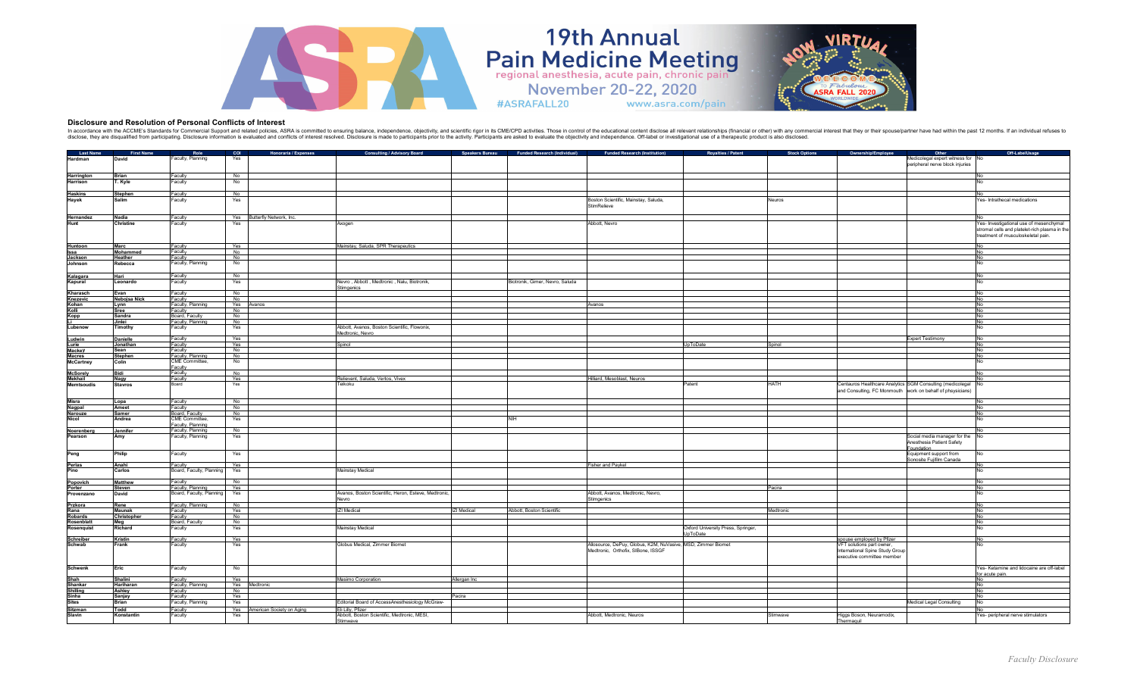

## **Disclosure and Resolution of Personal Conflicts of Interest**

In accordance with the ACCME's Standards for Commercial Support and related policies, ASRA is committed to ensuring balance, independence, objectivity, and scientific rigor in its CME/CPD activities. Those in control of th

#ASRAFALL20

**19th Annual** 

Pain Medicine Meeting

www.asra.com/pain

| Last Name                     | First Name      | Role                     | COI              | <b>Honoraria / Expenses</b>   | <b>Consulting / Advisory Board</b>                   |                    | Speakers Bureau Funded Research (Individual) | <b>Funded Research (Institution)</b>                         | <b>Royalties / Patent</b>          | <b>Stock Options</b> | Ownership/Employee                                     | Other                                                      | Off-LabelUsage                                |
|-------------------------------|-----------------|--------------------------|------------------|-------------------------------|------------------------------------------------------|--------------------|----------------------------------------------|--------------------------------------------------------------|------------------------------------|----------------------|--------------------------------------------------------|------------------------------------------------------------|-----------------------------------------------|
| Hardman                       | David           | Faculty, Planning        | Yes              |                               |                                                      |                    |                                              |                                                              |                                    |                      |                                                        | Medicolegal expert witness for No                          |                                               |
|                               |                 |                          |                  |                               |                                                      |                    |                                              |                                                              |                                    |                      |                                                        | peripheral nerve block injuries                            |                                               |
|                               |                 |                          |                  |                               |                                                      |                    |                                              |                                                              |                                    |                      |                                                        |                                                            |                                               |
|                               | Brian           | Faculty                  | No               |                               |                                                      |                    |                                              |                                                              |                                    |                      |                                                        |                                                            | No                                            |
| <b>Harrington</b><br>Harrison |                 | Faculty                  | No               |                               |                                                      |                    |                                              |                                                              |                                    |                      |                                                        |                                                            |                                               |
|                               | ľ. Kyle         |                          |                  |                               |                                                      |                    |                                              |                                                              |                                    |                      |                                                        |                                                            |                                               |
|                               |                 |                          |                  |                               |                                                      |                    |                                              |                                                              |                                    |                      |                                                        |                                                            |                                               |
| <b>Haskins</b>                | <b>Stephen</b>  | Faculty                  | No               |                               |                                                      |                    |                                              |                                                              |                                    |                      |                                                        |                                                            |                                               |
| Hayek                         | Salim           | Faculty                  | Yes              |                               |                                                      |                    |                                              | Boston Scientific, Mainstay, Saluda,                         |                                    | Neuros               |                                                        |                                                            | Yes- Intrathecal medications                  |
|                               |                 |                          |                  |                               |                                                      |                    |                                              | StimRelieve                                                  |                                    |                      |                                                        |                                                            |                                               |
|                               |                 |                          |                  |                               |                                                      |                    |                                              |                                                              |                                    |                      |                                                        |                                                            |                                               |
| Hernandez                     | Nadia           | Faculty                  |                  | Yes Butterfly Network, Inc.   |                                                      |                    |                                              |                                                              |                                    |                      |                                                        |                                                            |                                               |
| Hunt                          | Christine       | Faculty                  | Yes              |                               | Axogen                                               |                    |                                              | Abbott, Nevro                                                |                                    |                      |                                                        |                                                            | Yes- Investigational use of mesenchymal       |
|                               |                 |                          |                  |                               |                                                      |                    |                                              |                                                              |                                    |                      |                                                        |                                                            | stromal cells and platelet-rich plasma in the |
|                               |                 |                          |                  |                               |                                                      |                    |                                              |                                                              |                                    |                      |                                                        |                                                            | treatment of musculoskeletal pain.            |
|                               |                 |                          |                  |                               |                                                      |                    |                                              |                                                              |                                    |                      |                                                        |                                                            |                                               |
| Huntoon                       | Marc            |                          |                  |                               | Mainstay, Saluda, SPR Therapeutics                   |                    |                                              |                                                              |                                    |                      |                                                        |                                                            | No                                            |
| Issa                          | Mohammed        | Faculty<br>Faculty       | Yes<br>No        |                               |                                                      |                    |                                              |                                                              |                                    |                      |                                                        |                                                            | No                                            |
| Jackson                       | Heather         | Faculty                  | No               |                               |                                                      |                    |                                              |                                                              |                                    |                      |                                                        |                                                            | No                                            |
| Johnson                       | Rebecca         | Faculty, Planning        | No               |                               |                                                      |                    |                                              |                                                              |                                    |                      |                                                        |                                                            | No                                            |
|                               |                 |                          |                  |                               |                                                      |                    |                                              |                                                              |                                    |                      |                                                        |                                                            |                                               |
|                               |                 |                          |                  |                               |                                                      |                    |                                              |                                                              |                                    |                      |                                                        |                                                            |                                               |
| Kalagara                      | Hari            | Faculty                  | No               |                               |                                                      |                    |                                              |                                                              |                                    |                      |                                                        |                                                            | No                                            |
| Kapural                       | Leonardo        | Faculty                  | Yes              |                               | Nevro, Abbott, Medtronic, Nalu, Biotronik,           |                    | Biotronik, Gimer, Nevro, Saluda              |                                                              |                                    |                      |                                                        |                                                            | No                                            |
|                               |                 |                          |                  |                               | stimgenics                                           |                    |                                              |                                                              |                                    |                      |                                                        |                                                            |                                               |
| Kharasch                      | Evan            | Faculty                  | No               |                               |                                                      |                    |                                              |                                                              |                                    |                      |                                                        |                                                            | No                                            |
| Knezevic                      | Nebojsa Nick    | Faculty                  | No               |                               |                                                      |                    |                                              |                                                              |                                    |                      |                                                        |                                                            | No                                            |
| Kohan                         | Lynn            | Faculty, Planning        | Yes Avanos       |                               |                                                      |                    |                                              | Avanos                                                       |                                    |                      |                                                        |                                                            | No                                            |
| Kolli                         | Sree            | Faculty                  | No.              |                               |                                                      |                    |                                              |                                                              |                                    |                      |                                                        |                                                            | No                                            |
| <b>Kopp</b>                   | Sandra          | Board, Faculty           | No               |                               |                                                      |                    |                                              |                                                              |                                    |                      |                                                        |                                                            | No                                            |
|                               | Jinlei          | Faculty, Planning        | No               |                               |                                                      |                    |                                              |                                                              |                                    |                      |                                                        |                                                            | No                                            |
| Lubenow                       | Timothy         | Faculty                  | Yes              |                               | Abbott, Avanos, Boston Scientific, Flowonix,         |                    |                                              |                                                              |                                    |                      |                                                        |                                                            | No                                            |
|                               |                 |                          |                  |                               | Medtronic, Nevro                                     |                    |                                              |                                                              |                                    |                      |                                                        |                                                            |                                               |
| Ludwin                        | <b>Danielle</b> | Faculty                  | Yes              |                               |                                                      |                    |                                              |                                                              |                                    |                      |                                                        | <b>Expert Testimony</b>                                    | No                                            |
| Lurie                         | Jonathan        | Faculty                  |                  |                               | Spinol                                               |                    |                                              |                                                              | UpToDate                           | Spinol               |                                                        |                                                            | No                                            |
| <b>Mackey</b>                 | Sean            | Faculty                  | $\frac{Yes}{No}$ |                               |                                                      |                    |                                              |                                                              |                                    |                      |                                                        |                                                            | No                                            |
| <b>Macres</b>                 | <b>Stephen</b>  | Faculty, Planning        |                  |                               |                                                      |                    |                                              |                                                              |                                    |                      |                                                        |                                                            | No                                            |
| McCartney                     | Colin           | <b>CME</b> Committee     | No               |                               |                                                      |                    |                                              |                                                              |                                    |                      |                                                        |                                                            | No                                            |
|                               |                 | Faculty                  |                  |                               |                                                      |                    |                                              |                                                              |                                    |                      |                                                        |                                                            |                                               |
| <b>McSorely</b>               | Bidi            | Faculty<br>Faculty       | No.<br>Yes       |                               |                                                      |                    |                                              |                                                              |                                    |                      |                                                        |                                                            | No                                            |
| Mekhail                       | Nagy            |                          |                  |                               | Relievant, Saluda, Vertos, Vivex                     |                    |                                              | Hilliard, Mesoblast, Neuros                                  |                                    |                      |                                                        |                                                            |                                               |
| <b>Memtsoudis</b>             | <b>Stavros</b>  | Board                    | Yes              |                               | Teikoku                                              |                    |                                              |                                                              | Patent                             | <b>HATH</b>          |                                                        | Centauros Healthcare Analytics SGM Consulting (medicolegal | No                                            |
|                               |                 |                          |                  |                               |                                                      |                    |                                              |                                                              |                                    |                      |                                                        | and Consulting, FC Monmouth work on behalf of phsysicians) |                                               |
|                               |                 |                          |                  |                               |                                                      |                    |                                              |                                                              |                                    |                      |                                                        |                                                            |                                               |
| Misra<br>Nagpal               | Lopa            | Faculty                  | <b>No</b>        |                               |                                                      |                    |                                              |                                                              |                                    |                      |                                                        |                                                            | No                                            |
|                               | Ameet           | Faculty                  | No               |                               |                                                      |                    |                                              |                                                              |                                    |                      |                                                        |                                                            | No                                            |
| Narouze                       | Samer           | Board, Faculty           | No               |                               |                                                      |                    |                                              |                                                              |                                    |                      |                                                        |                                                            | No                                            |
|                               | Andrea          | <b>CME Committee</b>     | Yes              |                               |                                                      |                    | NIH                                          |                                                              |                                    |                      |                                                        |                                                            | No                                            |
|                               |                 | Faculty, Planning        |                  |                               |                                                      |                    |                                              |                                                              |                                    |                      |                                                        |                                                            |                                               |
| Noerenberg                    | Jennifer        | Faculty, Planning        | No               |                               |                                                      |                    |                                              |                                                              |                                    |                      |                                                        |                                                            |                                               |
| Pearson                       | Amy             | Faculty, Planning        | Yes              |                               |                                                      |                    |                                              |                                                              |                                    |                      |                                                        | Social media manager for the                               |                                               |
|                               |                 |                          |                  |                               |                                                      |                    |                                              |                                                              |                                    |                      |                                                        | Anesthesia Patient Safety                                  |                                               |
|                               |                 |                          |                  |                               |                                                      |                    |                                              |                                                              |                                    |                      |                                                        | oundation                                                  |                                               |
| Peng                          | Philip          | Faculty                  | Yes              |                               |                                                      |                    |                                              |                                                              |                                    |                      |                                                        | Equipment support from                                     |                                               |
|                               |                 |                          |                  |                               |                                                      |                    |                                              |                                                              |                                    |                      |                                                        | onosite Fuiifilm Canada                                    |                                               |
| Perlas                        | Anahi           | Faculty                  | Yes              |                               |                                                      |                    |                                              | Fisher and Paykel                                            |                                    |                      |                                                        |                                                            | No                                            |
| Pino                          | Carlos          | Board, Faculty, Planning | Yes              |                               | Mainstay Medical                                     |                    |                                              |                                                              |                                    |                      |                                                        |                                                            | No                                            |
|                               |                 |                          |                  |                               |                                                      |                    |                                              |                                                              |                                    |                      |                                                        |                                                            |                                               |
| Popovich                      | Matthew         | Faculty                  | No               |                               |                                                      |                    |                                              |                                                              |                                    |                      |                                                        |                                                            | No                                            |
| Porter                        | Steven          | Faculty, Planning        | Yes              |                               |                                                      |                    |                                              |                                                              |                                    | Pacira               |                                                        |                                                            | No                                            |
| Provenzano                    | David           | Board, Faculty, Planning | Yes              |                               | Avanos, Boston Scientific, Heron, Esteve, Medtronic, |                    |                                              | Abbott, Avanos, Medtronic, Nevro,                            |                                    |                      |                                                        |                                                            | No                                            |
|                               |                 |                          |                  |                               | Nevro                                                |                    |                                              | <b>Stimgenics</b>                                            |                                    |                      |                                                        |                                                            |                                               |
| Przkora                       | Rene            | Faculty, Planning        | No               |                               |                                                      |                    |                                              |                                                              |                                    |                      |                                                        |                                                            | No                                            |
| Rana                          | Maunak          | Faculty                  | Yes              |                               | ZI Medical                                           | <b>IZI</b> Medical | Abbott, Boston Scientific                    |                                                              |                                    | Medtronic            |                                                        |                                                            | No                                            |
| Robards                       | Christopher     | Faculty                  | <b>No</b>        |                               |                                                      |                    |                                              |                                                              |                                    |                      |                                                        |                                                            | <b>No</b>                                     |
| Rosenblatt                    | Meg             | Board, Faculty           | No               |                               |                                                      |                    |                                              |                                                              |                                    |                      |                                                        |                                                            | No                                            |
| Rosenquist                    | Richard         | Faculty                  | Yes              |                               | Mainstay Medical                                     |                    |                                              |                                                              | Oxford University Press, Springer, |                      |                                                        |                                                            | No                                            |
|                               |                 |                          |                  |                               |                                                      |                    |                                              |                                                              | JpToDate                           |                      |                                                        |                                                            |                                               |
| Schreiber                     | Kristin         | Faculty                  | Yes              |                               |                                                      |                    |                                              |                                                              |                                    |                      | spouse employed by Pfizer<br>VFT solutions part owner, |                                                            | No                                            |
| Schwab                        | Frank           | Faculty                  | Yes              |                               | Globus Medical, Zimmer Biomet                        |                    |                                              | Allosource, DePuy, Globus, K2M, NuVasive, MSD, Zimmer Biomet |                                    |                      |                                                        |                                                            |                                               |
|                               |                 |                          |                  |                               |                                                      |                    |                                              | Medtronic, Orthofix, SIBone, ISSGF                           |                                    |                      | International Spine Study Group                        |                                                            |                                               |
|                               |                 |                          |                  |                               |                                                      |                    |                                              |                                                              |                                    |                      | executive committee member                             |                                                            |                                               |
|                               |                 |                          |                  |                               |                                                      |                    |                                              |                                                              |                                    |                      |                                                        |                                                            |                                               |
| <b>Schwenk</b>                | Eric            | Faculty                  | No               |                               |                                                      |                    |                                              |                                                              |                                    |                      |                                                        |                                                            | Yes- Ketamine and lidocaine are off-label     |
|                               |                 |                          |                  |                               |                                                      |                    |                                              |                                                              |                                    |                      |                                                        |                                                            | for acute pain                                |
| Shah                          | Shalini         | Faculty                  | Yes              |                               | Masimo Corporation                                   | Allergan Inc       |                                              |                                                              |                                    |                      |                                                        |                                                            | No                                            |
| Shankar                       | Hariharan       | Faculty, Planning        |                  | Yes Medtronic                 |                                                      |                    |                                              |                                                              |                                    |                      |                                                        |                                                            | No                                            |
| Shilling                      | Ashley          | Faculty                  | No               |                               |                                                      |                    |                                              |                                                              |                                    |                      |                                                        |                                                            | No                                            |
| Sinha<br>Sites                | Sanjay          | Faculty                  | Yes              |                               |                                                      | Pacira             |                                              |                                                              |                                    |                      |                                                        |                                                            | <b>No</b>                                     |
|                               | Brian           | Faculty, Planning        | Yes              |                               | Editorial Board of AccessAnesthesiology McGraw-      |                    |                                              |                                                              |                                    |                      |                                                        | Medical Legal Consulting                                   | No                                            |
| Sitzman                       | Todd            | Faculty                  |                  | Yes American Society on Aging | Eli Lilly, Pfizer                                    |                    |                                              |                                                              |                                    |                      |                                                        |                                                            |                                               |
| Slavin                        | Konstantin      | Faculty                  | Yes              |                               | Abbott, Boston Scientific, Medtronic, MESI,          |                    |                                              | Abbott, Medtronic, Neuros                                    |                                    | Stimwave             | Higgs Boson, Neuramodix,                               |                                                            | Yes- peripheral nerve stimulators             |
|                               |                 |                          |                  |                               | Stimwave                                             |                    |                                              |                                                              |                                    |                      | Thermaquil                                             |                                                            |                                               |
|                               |                 |                          |                  |                               |                                                      |                    |                                              |                                                              |                                    |                      |                                                        |                                                            |                                               |